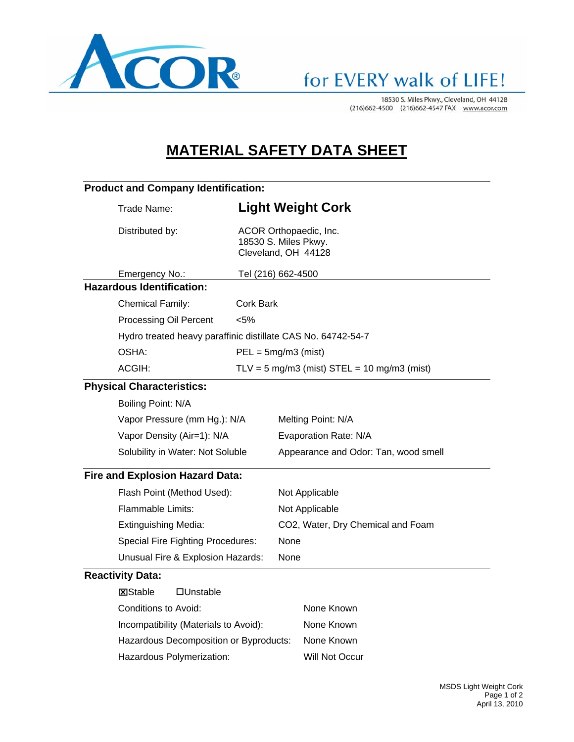

18530 S. Miles Pkwy., Cleveland, OH 44128 (216)662-4500 (216)662-4547 FAX www.acor.com

## **MATERIAL SAFETY DATA SHEET**

| <b>Product and Company Identification:</b>                            |                                                                                                                                                                                                                                      |  |  |
|-----------------------------------------------------------------------|--------------------------------------------------------------------------------------------------------------------------------------------------------------------------------------------------------------------------------------|--|--|
| <b>Light Weight Cork</b>                                              |                                                                                                                                                                                                                                      |  |  |
| ACOR Orthopaedic, Inc.<br>18530 S. Miles Pkwy.<br>Cleveland, OH 44128 |                                                                                                                                                                                                                                      |  |  |
| Tel (216) 662-4500                                                    |                                                                                                                                                                                                                                      |  |  |
|                                                                       |                                                                                                                                                                                                                                      |  |  |
| <b>Cork Bark</b>                                                      |                                                                                                                                                                                                                                      |  |  |
| < 5%                                                                  |                                                                                                                                                                                                                                      |  |  |
| Hydro treated heavy paraffinic distillate CAS No. 64742-54-7          |                                                                                                                                                                                                                                      |  |  |
| $PEL = 5mg/m3$ (mist)                                                 |                                                                                                                                                                                                                                      |  |  |
| $TLV = 5$ mg/m3 (mist) $STEL = 10$ mg/m3 (mist)                       |                                                                                                                                                                                                                                      |  |  |
|                                                                       |                                                                                                                                                                                                                                      |  |  |
|                                                                       |                                                                                                                                                                                                                                      |  |  |
|                                                                       | Melting Point: N/A                                                                                                                                                                                                                   |  |  |
|                                                                       | Evaporation Rate: N/A                                                                                                                                                                                                                |  |  |
|                                                                       | Appearance and Odor: Tan, wood smell                                                                                                                                                                                                 |  |  |
|                                                                       |                                                                                                                                                                                                                                      |  |  |
|                                                                       | Not Applicable                                                                                                                                                                                                                       |  |  |
|                                                                       | Not Applicable                                                                                                                                                                                                                       |  |  |
| CO2, Water, Dry Chemical and Foam                                     |                                                                                                                                                                                                                                      |  |  |
|                                                                       | None                                                                                                                                                                                                                                 |  |  |
|                                                                       | None                                                                                                                                                                                                                                 |  |  |
|                                                                       |                                                                                                                                                                                                                                      |  |  |
|                                                                       |                                                                                                                                                                                                                                      |  |  |
|                                                                       | None Known                                                                                                                                                                                                                           |  |  |
|                                                                       | None Known                                                                                                                                                                                                                           |  |  |
| Hazardous Decomposition or Byproducts:                                | None Known                                                                                                                                                                                                                           |  |  |
|                                                                       |                                                                                                                                                                                                                                      |  |  |
|                                                                       | Vapor Pressure (mm Hg.): N/A<br>Solubility in Water: Not Soluble<br><b>Fire and Explosion Hazard Data:</b><br><b>Special Fire Fighting Procedures:</b><br>Unusual Fire & Explosion Hazards:<br>Incompatibility (Materials to Avoid): |  |  |